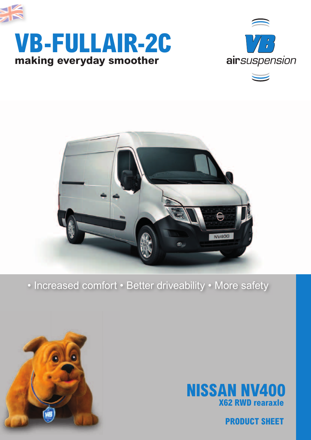







# • Increased comfort • Better driveability • More safety





**PRODUCT SHEET**